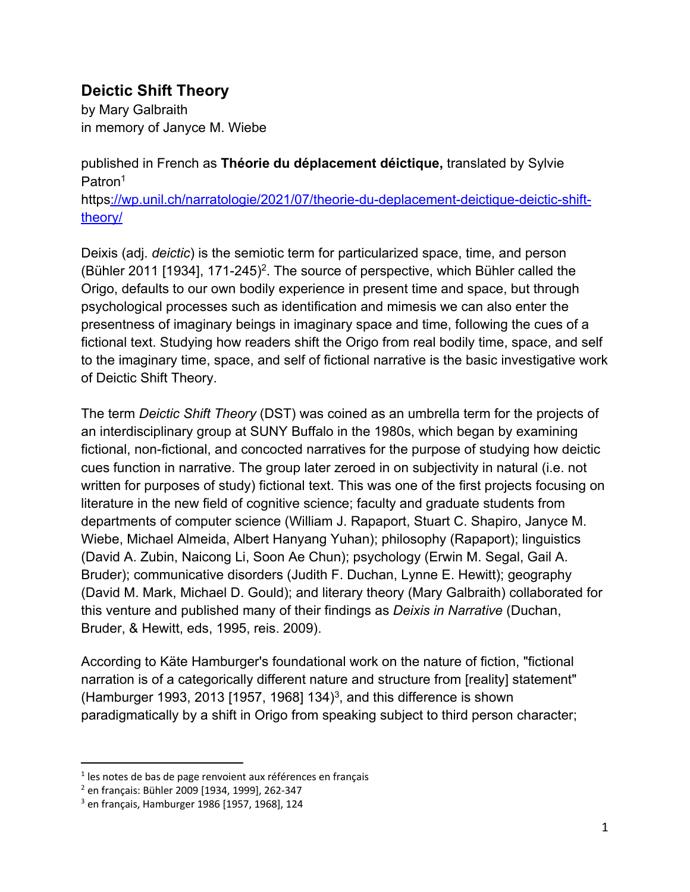## **Deictic Shift Theory**

by Mary Galbraith in memory of Janyce M. Wiebe

published in French as **Théorie du déplacement déictique,** translated by Sylvie Patron1

https://wp.unil.ch/narratologie/2021/07/theorie-du-deplacement-deictique-deictic-shifttheory/

Deixis (adj. *deictic*) is the semiotic term for particularized space, time, and person (Bühler 2011 [1934], 171-245) 2. The source of perspective, which Bühler called the Origo, defaults to our own bodily experience in present time and space, but through psychological processes such as identification and mimesis we can also enter the presentness of imaginary beings in imaginary space and time, following the cues of a fictional text. Studying how readers shift the Origo from real bodily time, space, and self to the imaginary time, space, and self of fictional narrative is the basic investigative work of Deictic Shift Theory.

The term *Deictic Shift Theory* (DST) was coined as an umbrella term for the projects of an interdisciplinary group at SUNY Buffalo in the 1980s, which began by examining fictional, non-fictional, and concocted narratives for the purpose of studying how deictic cues function in narrative. The group later zeroed in on subjectivity in natural (i.e. not written for purposes of study) fictional text. This was one of the first projects focusing on literature in the new field of cognitive science; faculty and graduate students from departments of computer science (William J. Rapaport, Stuart C. Shapiro, Janyce M. Wiebe, Michael Almeida, Albert Hanyang Yuhan); philosophy (Rapaport); linguistics (David A. Zubin, Naicong Li, Soon Ae Chun); psychology (Erwin M. Segal, Gail A. Bruder); communicative disorders (Judith F. Duchan, Lynne E. Hewitt); geography (David M. Mark, Michael D. Gould); and literary theory (Mary Galbraith) collaborated for this venture and published many of their findings as *Deixis in Narrative* (Duchan, Bruder, & Hewitt, eds, 1995, reis. 2009).

According to Käte Hamburger's foundational work on the nature of fiction, "fictional narration is of a categorically different nature and structure from [reality] statement" (Hamburger 1993, 2013 [1957, 1968] 134 $3$ , and this difference is shown paradigmatically by a shift in Origo from speaking subject to third person character;

 $1$  les notes de bas de page renvoient aux références en français

<sup>2</sup> en français: Bühler 2009 [1934, 1999], 262-347

<sup>3</sup> en français, Hamburger 1986 [1957, 1968], 124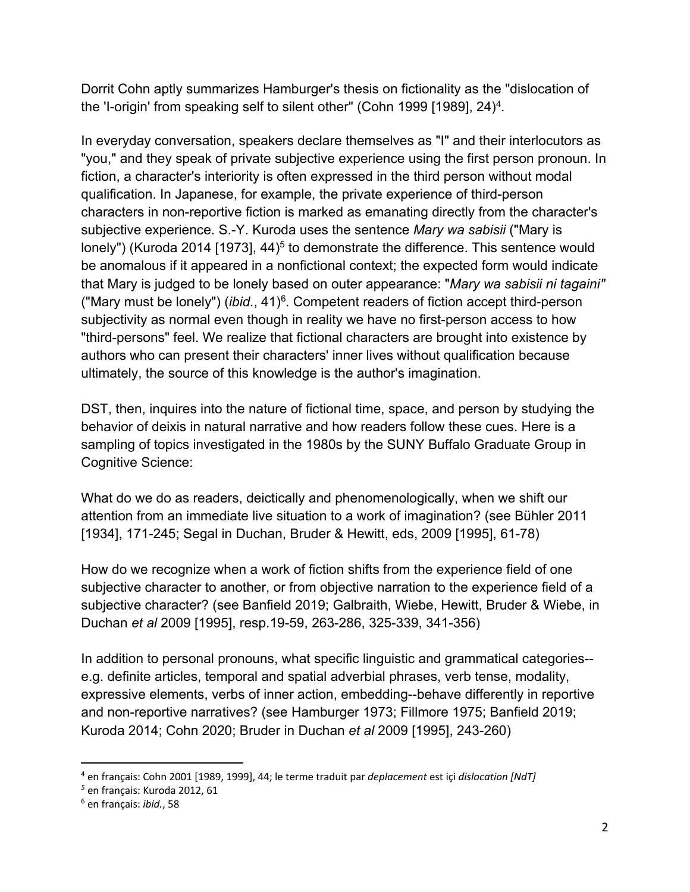Dorrit Cohn aptly summarizes Hamburger's thesis on fictionality as the "dislocation of the 'I-origin' from speaking self to silent other" (Cohn 1999 [1989], 24) 4.

In everyday conversation, speakers declare themselves as "I" and their interlocutors as "you," and they speak of private subjective experience using the first person pronoun. In fiction, a character's interiority is often expressed in the third person without modal qualification. In Japanese, for example, the private experience of third-person characters in non-reportive fiction is marked as emanating directly from the character's subjective experience. S.-Y. Kuroda uses the sentence *Mary wa sabisii* ("Mary is lonely") (Kuroda 2014 [1973],  $44$ <sup>5</sup> to demonstrate the difference. This sentence would be anomalous if it appeared in a nonfictional context; the expected form would indicate that Mary is judged to be lonely based on outer appearance: "*Mary wa sabisii ni tagaini"* ("Mary must be lonely") (*ibid.*, 41)6. Competent readers of fiction accept third-person subjectivity as normal even though in reality we have no first-person access to how "third-persons" feel. We realize that fictional characters are brought into existence by authors who can present their characters' inner lives without qualification because ultimately, the source of this knowledge is the author's imagination.

DST, then, inquires into the nature of fictional time, space, and person by studying the behavior of deixis in natural narrative and how readers follow these cues. Here is a sampling of topics investigated in the 1980s by the SUNY Buffalo Graduate Group in Cognitive Science:

What do we do as readers, deictically and phenomenologically, when we shift our attention from an immediate live situation to a work of imagination? (see Bühler 2011 [1934], 171-245; Segal in Duchan, Bruder & Hewitt, eds, 2009 [1995], 61-78)

How do we recognize when a work of fiction shifts from the experience field of one subjective character to another, or from objective narration to the experience field of a subjective character? (see Banfield 2019; Galbraith, Wiebe, Hewitt, Bruder & Wiebe, in Duchan *et al* 2009 [1995], resp.19-59, 263-286, 325-339, 341-356)

In addition to personal pronouns, what specific linguistic and grammatical categories- e.g. definite articles, temporal and spatial adverbial phrases, verb tense, modality, expressive elements, verbs of inner action, embedding--behave differently in reportive and non-reportive narratives? (see Hamburger 1973; Fillmore 1975; Banfield 2019; Kuroda 2014; Cohn 2020; Bruder in Duchan *et al* 2009 [1995], 243-260)

<sup>4</sup> en français: Cohn 2001 [1989, 1999], 44; le terme traduit par *deplacement* est içi *dislocation [NdT]*

*<sup>5</sup>* en français: Kuroda 2012, 61

<sup>6</sup> en français: *ibid.*, 58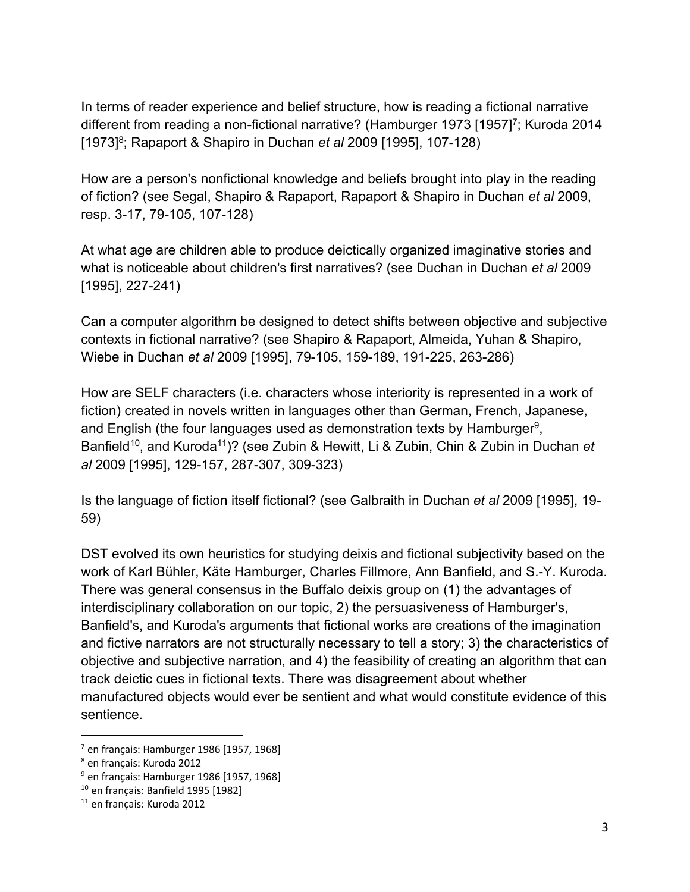In terms of reader experience and belief structure, how is reading a fictional narrative different from reading a non-fictional narrative? (Hamburger 1973 [1957]<sup>7</sup>; Kuroda 2014 [1973]<sup>8</sup>; Rapaport & Shapiro in Duchan *et al* 2009 [1995], 107-128)

How are a person's nonfictional knowledge and beliefs brought into play in the reading of fiction? (see Segal, Shapiro & Rapaport, Rapaport & Shapiro in Duchan *et al* 2009, resp. 3-17, 79-105, 107-128)

At what age are children able to produce deictically organized imaginative stories and what is noticeable about children's first narratives? (see Duchan in Duchan *et al* 2009 [1995], 227-241)

Can a computer algorithm be designed to detect shifts between objective and subjective contexts in fictional narrative? (see Shapiro & Rapaport, Almeida, Yuhan & Shapiro, Wiebe in Duchan *et al* 2009 [1995], 79-105, 159-189, 191-225, 263-286)

How are SELF characters (i.e. characters whose interiority is represented in a work of fiction) created in novels written in languages other than German, French, Japanese, and English (the four languages used as demonstration texts by Hamburger<sup>9</sup>, Banfield<sup>10</sup>, and Kuroda<sup>11</sup>)? (see Zubin & Hewitt, Li & Zubin, Chin & Zubin in Duchan *et al* 2009 [1995], 129-157, 287-307, 309-323)

Is the language of fiction itself fictional? (see Galbraith in Duchan *et al* 2009 [1995], 19- 59)

DST evolved its own heuristics for studying deixis and fictional subjectivity based on the work of Karl Bühler, Käte Hamburger, Charles Fillmore, Ann Banfield, and S.-Y. Kuroda. There was general consensus in the Buffalo deixis group on (1) the advantages of interdisciplinary collaboration on our topic, 2) the persuasiveness of Hamburger's, Banfield's, and Kuroda's arguments that fictional works are creations of the imagination and fictive narrators are not structurally necessary to tell a story; 3) the characteristics of objective and subjective narration, and 4) the feasibility of creating an algorithm that can track deictic cues in fictional texts. There was disagreement about whether manufactured objects would ever be sentient and what would constitute evidence of this sentience.

<sup>&</sup>lt;sup>7</sup> en français: Hamburger 1986 [1957, 1968]<br><sup>8</sup> en français: Kuroda 2012

 $9$  en français: Hamburger 1986 [1957, 1968]

<sup>10</sup> en français: Banfield 1995 [1982]

<sup>11</sup> en français: Kuroda 2012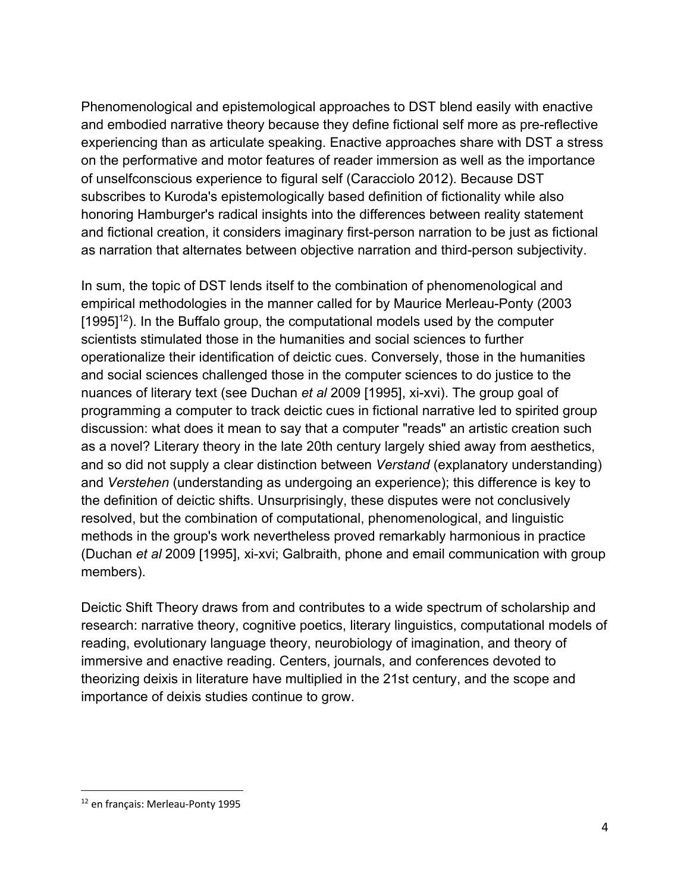Phenomenological and epistemological approaches to DST blend easily with enactive and embodied narrative theory because they define fictional self more as pre-reflective experiencing than as articulate speaking. Enactive approaches share with DST a stress on the performative and motor features of reader immersion as well as the importance of unselfconscious experience to figural self (Caracciolo 2012). Because DST subscribes to Kuroda's epistemologically based definition of fictionality while also honoring Hamburger's radical insights into the differences between reality statement and fictional creation, it considers imaginary first-person narration to be just as fictional as narration that alternates between objective narration and third-person subjectivity.

In sum, the topic of DST lends itself to the combination of phenomenological and empirical methodologies in the manner called for by Maurice Merleau-Ponty (2003  $[1995]^{12}$ ). In the Buffalo group, the computational models used by the computer scientists stimulated those in the humanities and social sciences to further operationalize their identification of deictic cues. Conversely, those in the humanities and social sciences challenged those in the computer sciences to do justice to the nuances of literary text (see Duchan *et al* 2009 [1995], xi-xvi). The group goal of programming a computer to track deictic cues in fictional narrative led to spirited group discussion: what does it mean to say that a computer "reads" an artistic creation such as a novel? Literary theory in the late 20th century largely shied away from aesthetics, and so did not supply a clear distinction between *Verstand* (explanatory understanding) and *Verstehen* (understanding as undergoing an experience); this difference is key to the definition of deictic shifts. Unsurprisingly, these disputes were not conclusively resolved, but the combination of computational, phenomenological, and linguistic methods in the group's work nevertheless proved remarkably harmonious in practice (Duchan *et al* 2009 [1995], xi-xvi; Galbraith, phone and email communication with group members).

Deictic Shift Theory draws from and contributes to a wide spectrum of scholarship and research: narrative theory, cognitive poetics, literary linguistics, computational models of reading, evolutionary language theory, neurobiology of imagination, and theory of immersive and enactive reading. Centers, journals, and conferences devoted to theorizing deixis in literature have multiplied in the 21st century, and the scope and importance of deixis studies continue to grow.

<sup>12</sup> en français: Merleau-Ponty 1995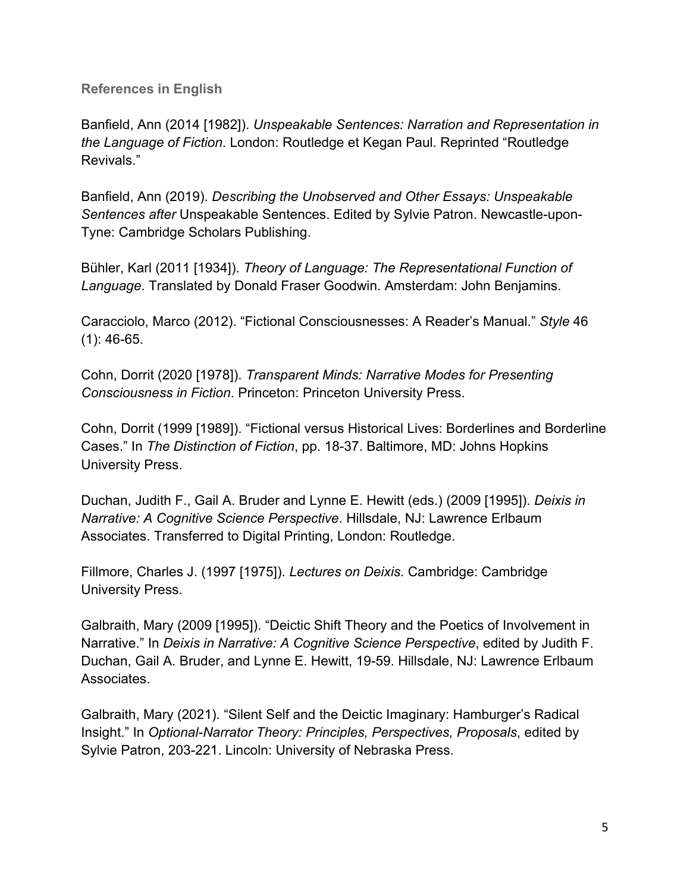**References in English**

Banfield, Ann (2014 [1982]). *Unspeakable Sentences: Narration and Representation in the Language of Fiction*. London: Routledge et Kegan Paul. Reprinted "Routledge Revivals."

Banfield, Ann (2019). *Describing the Unobserved and Other Essays: Unspeakable Sentences after* Unspeakable Sentences. Edited by Sylvie Patron. Newcastle-upon-Tyne: Cambridge Scholars Publishing.

Bühler, Karl (2011 [1934]). *Theory of Language: The Representational Function of Language*. Translated by Donald Fraser Goodwin. Amsterdam: John Benjamins.

Caracciolo, Marco (2012). "Fictional Consciousnesses: A Reader's Manual." *Style* 46 (1): 46-65.

Cohn, Dorrit (2020 [1978]). *Transparent Minds: Narrative Modes for Presenting Consciousness in Fiction*. Princeton: Princeton University Press.

Cohn, Dorrit (1999 [1989]). "Fictional versus Historical Lives: Borderlines and Borderline Cases." In *The Distinction of Fiction*, pp. 18-37. Baltimore, MD: Johns Hopkins University Press.

Duchan, Judith F., Gail A. Bruder and Lynne E. Hewitt (eds.) (2009 [1995]). *Deixis in Narrative: A Cognitive Science Perspective*. Hillsdale, NJ: Lawrence Erlbaum Associates. Transferred to Digital Printing, London: Routledge.

Fillmore, Charles J. (1997 [1975]). *Lectures on Deixis*. Cambridge: Cambridge University Press.

Galbraith, Mary (2009 [1995]). "Deictic Shift Theory and the Poetics of Involvement in Narrative." In *Deixis in Narrative: A Cognitive Science Perspective*, edited by Judith F. Duchan, Gail A. Bruder, and Lynne E. Hewitt, 19-59. Hillsdale, NJ: Lawrence Erlbaum Associates.

Galbraith, Mary (2021). "Silent Self and the Deictic Imaginary: Hamburger's Radical Insight." In *Optional-Narrator Theory: Principles, Perspectives, Proposals*, edited by Sylvie Patron, 203-221. Lincoln: University of Nebraska Press.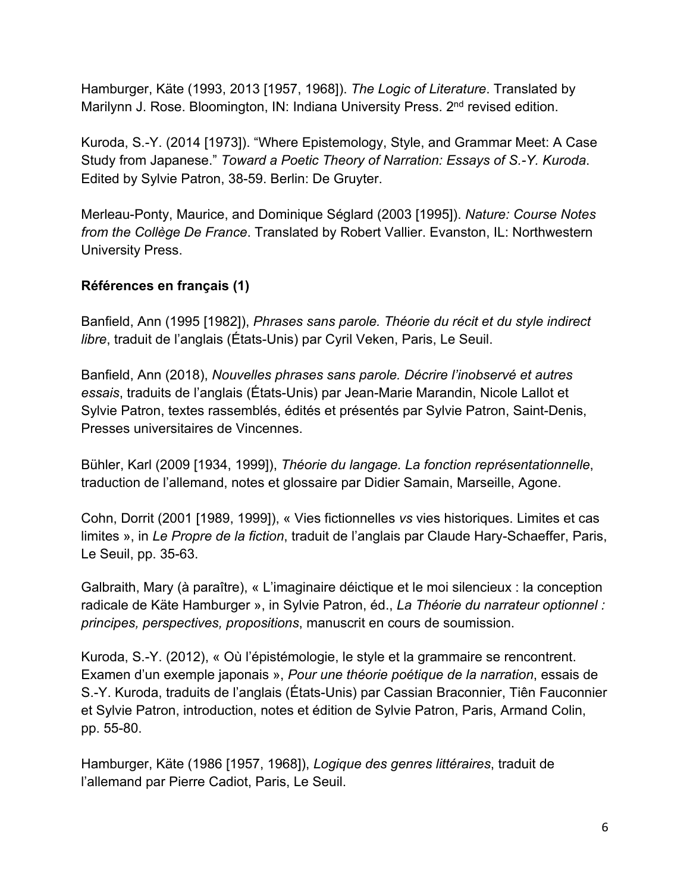Hamburger, Käte (1993, 2013 [1957, 1968]). *The Logic of Literature*. Translated by Marilynn J. Rose. Bloomington, IN: Indiana University Press. 2<sup>nd</sup> revised edition.

Kuroda, S.-Y. (2014 [1973]). "Where Epistemology, Style, and Grammar Meet: A Case Study from Japanese." *Toward a Poetic Theory of Narration: Essays of S.-Y. Kuroda*. Edited by Sylvie Patron, 38-59. Berlin: De Gruyter.

Merleau-Ponty, Maurice, and Dominique Séglard (2003 [1995]). *Nature: Course Notes from the Collège De France*. Translated by Robert Vallier. Evanston, IL: Northwestern University Press.

## **Références en français (1)**

Banfield, Ann (1995 [1982]), *Phrases sans parole. Théorie du récit et du style indirect libre*, traduit de l'anglais (États-Unis) par Cyril Veken, Paris, Le Seuil.

Banfield, Ann (2018), *Nouvelles phrases sans parole. Décrire l'inobservé et autres essais*, traduits de l'anglais (États-Unis) par Jean-Marie Marandin, Nicole Lallot et Sylvie Patron, textes rassemblés, édités et présentés par Sylvie Patron, Saint-Denis, Presses universitaires de Vincennes.

Bühler, Karl (2009 [1934, 1999]), *Théorie du langage. La fonction représentationnelle*, traduction de l'allemand, notes et glossaire par Didier Samain, Marseille, Agone.

Cohn, Dorrit (2001 [1989, 1999]), « Vies fictionnelles *vs* vies historiques. Limites et cas limites », in *Le Propre de la fiction*, traduit de l'anglais par Claude Hary-Schaeffer, Paris, Le Seuil, pp. 35-63.

Galbraith, Mary (à paraître), « L'imaginaire déictique et le moi silencieux : la conception radicale de Käte Hamburger », in Sylvie Patron, éd., *La Théorie du narrateur optionnel : principes, perspectives, propositions*, manuscrit en cours de soumission.

Kuroda, S.-Y. (2012), « Où l'épistémologie, le style et la grammaire se rencontrent. Examen d'un exemple japonais », *Pour une théorie poétique de la narration*, essais de S.-Y. Kuroda, traduits de l'anglais (États-Unis) par Cassian Braconnier, Tiên Fauconnier et Sylvie Patron, introduction, notes et édition de Sylvie Patron, Paris, Armand Colin, pp. 55-80.

Hamburger, Käte (1986 [1957, 1968]), *Logique des genres littéraires*, traduit de l'allemand par Pierre Cadiot, Paris, Le Seuil.